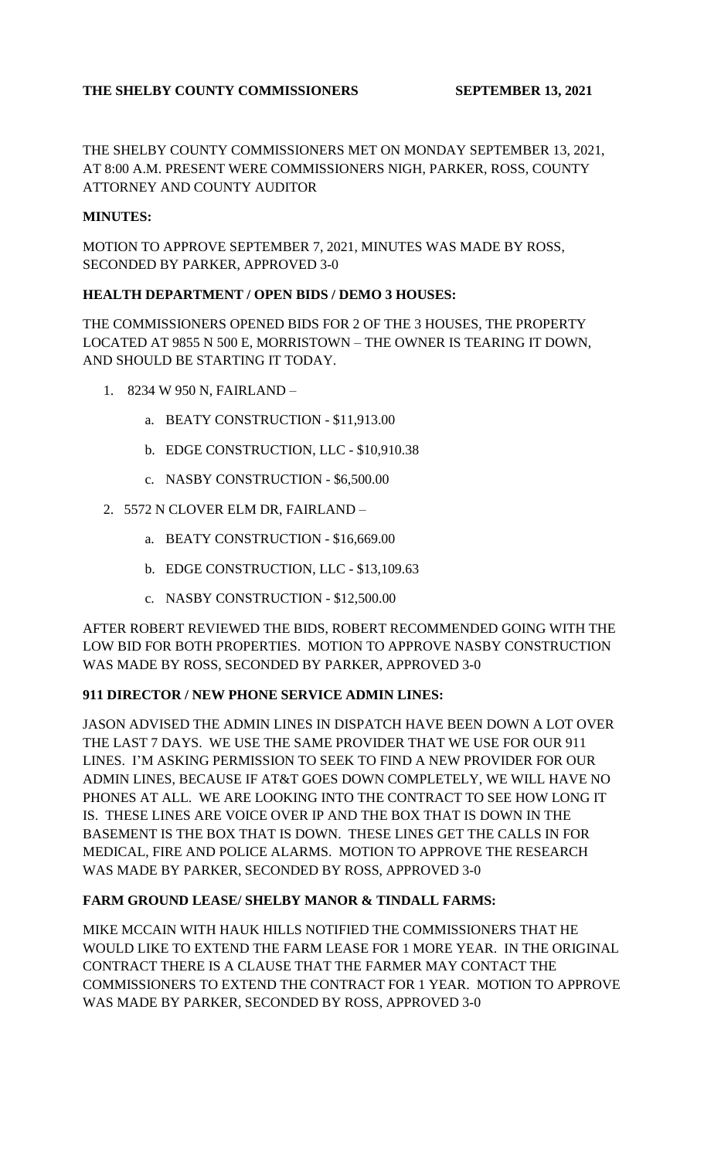# **THE SHELBY COUNTY COMMISSIONERS SEPTEMBER 13, 2021**

THE SHELBY COUNTY COMMISSIONERS MET ON MONDAY SEPTEMBER 13, 2021, AT 8:00 A.M. PRESENT WERE COMMISSIONERS NIGH, PARKER, ROSS, COUNTY ATTORNEY AND COUNTY AUDITOR

## **MINUTES:**

MOTION TO APPROVE SEPTEMBER 7, 2021, MINUTES WAS MADE BY ROSS, SECONDED BY PARKER, APPROVED 3-0

## **HEALTH DEPARTMENT / OPEN BIDS / DEMO 3 HOUSES:**

THE COMMISSIONERS OPENED BIDS FOR 2 OF THE 3 HOUSES, THE PROPERTY LOCATED AT 9855 N 500 E, MORRISTOWN – THE OWNER IS TEARING IT DOWN, AND SHOULD BE STARTING IT TODAY.

- 1. 8234 W 950 N, FAIRLAND
	- a. BEATY CONSTRUCTION \$11,913.00
	- b. EDGE CONSTRUCTION, LLC \$10,910.38
	- c. NASBY CONSTRUCTION \$6,500.00
- 2. 5572 N CLOVER ELM DR, FAIRLAND
	- a. BEATY CONSTRUCTION \$16,669.00
	- b. EDGE CONSTRUCTION, LLC \$13,109.63
	- c. NASBY CONSTRUCTION \$12,500.00

AFTER ROBERT REVIEWED THE BIDS, ROBERT RECOMMENDED GOING WITH THE LOW BID FOR BOTH PROPERTIES. MOTION TO APPROVE NASBY CONSTRUCTION WAS MADE BY ROSS, SECONDED BY PARKER, APPROVED 3-0

#### **911 DIRECTOR / NEW PHONE SERVICE ADMIN LINES:**

JASON ADVISED THE ADMIN LINES IN DISPATCH HAVE BEEN DOWN A LOT OVER THE LAST 7 DAYS. WE USE THE SAME PROVIDER THAT WE USE FOR OUR 911 LINES. I'M ASKING PERMISSION TO SEEK TO FIND A NEW PROVIDER FOR OUR ADMIN LINES, BECAUSE IF AT&T GOES DOWN COMPLETELY, WE WILL HAVE NO PHONES AT ALL. WE ARE LOOKING INTO THE CONTRACT TO SEE HOW LONG IT IS. THESE LINES ARE VOICE OVER IP AND THE BOX THAT IS DOWN IN THE BASEMENT IS THE BOX THAT IS DOWN. THESE LINES GET THE CALLS IN FOR MEDICAL, FIRE AND POLICE ALARMS. MOTION TO APPROVE THE RESEARCH WAS MADE BY PARKER, SECONDED BY ROSS, APPROVED 3-0

#### **FARM GROUND LEASE/ SHELBY MANOR & TINDALL FARMS:**

MIKE MCCAIN WITH HAUK HILLS NOTIFIED THE COMMISSIONERS THAT HE WOULD LIKE TO EXTEND THE FARM LEASE FOR 1 MORE YEAR. IN THE ORIGINAL CONTRACT THERE IS A CLAUSE THAT THE FARMER MAY CONTACT THE COMMISSIONERS TO EXTEND THE CONTRACT FOR 1 YEAR. MOTION TO APPROVE WAS MADE BY PARKER, SECONDED BY ROSS, APPROVED 3-0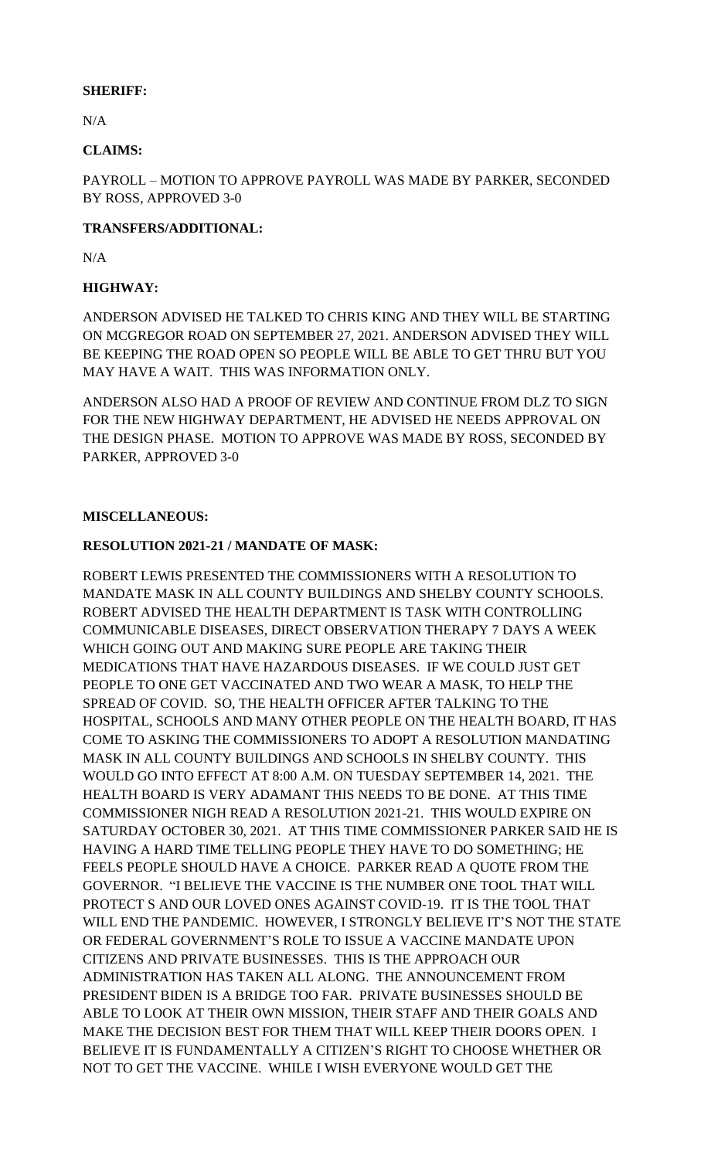## **SHERIFF:**

N/A

## **CLAIMS:**

PAYROLL – MOTION TO APPROVE PAYROLL WAS MADE BY PARKER, SECONDED BY ROSS, APPROVED 3-0

## **TRANSFERS/ADDITIONAL:**

N/A

# **HIGHWAY:**

ANDERSON ADVISED HE TALKED TO CHRIS KING AND THEY WILL BE STARTING ON MCGREGOR ROAD ON SEPTEMBER 27, 2021. ANDERSON ADVISED THEY WILL BE KEEPING THE ROAD OPEN SO PEOPLE WILL BE ABLE TO GET THRU BUT YOU MAY HAVE A WAIT. THIS WAS INFORMATION ONLY.

ANDERSON ALSO HAD A PROOF OF REVIEW AND CONTINUE FROM DLZ TO SIGN FOR THE NEW HIGHWAY DEPARTMENT, HE ADVISED HE NEEDS APPROVAL ON THE DESIGN PHASE. MOTION TO APPROVE WAS MADE BY ROSS, SECONDED BY PARKER, APPROVED 3-0

## **MISCELLANEOUS:**

## **RESOLUTION 2021-21 / MANDATE OF MASK:**

ROBERT LEWIS PRESENTED THE COMMISSIONERS WITH A RESOLUTION TO MANDATE MASK IN ALL COUNTY BUILDINGS AND SHELBY COUNTY SCHOOLS. ROBERT ADVISED THE HEALTH DEPARTMENT IS TASK WITH CONTROLLING COMMUNICABLE DISEASES, DIRECT OBSERVATION THERAPY 7 DAYS A WEEK WHICH GOING OUT AND MAKING SURE PEOPLE ARE TAKING THEIR MEDICATIONS THAT HAVE HAZARDOUS DISEASES. IF WE COULD JUST GET PEOPLE TO ONE GET VACCINATED AND TWO WEAR A MASK, TO HELP THE SPREAD OF COVID. SO, THE HEALTH OFFICER AFTER TALKING TO THE HOSPITAL, SCHOOLS AND MANY OTHER PEOPLE ON THE HEALTH BOARD, IT HAS COME TO ASKING THE COMMISSIONERS TO ADOPT A RESOLUTION MANDATING MASK IN ALL COUNTY BUILDINGS AND SCHOOLS IN SHELBY COUNTY. THIS WOULD GO INTO EFFECT AT 8:00 A.M. ON TUESDAY SEPTEMBER 14, 2021. THE HEALTH BOARD IS VERY ADAMANT THIS NEEDS TO BE DONE. AT THIS TIME COMMISSIONER NIGH READ A RESOLUTION 2021-21. THIS WOULD EXPIRE ON SATURDAY OCTOBER 30, 2021. AT THIS TIME COMMISSIONER PARKER SAID HE IS HAVING A HARD TIME TELLING PEOPLE THEY HAVE TO DO SOMETHING; HE FEELS PEOPLE SHOULD HAVE A CHOICE. PARKER READ A QUOTE FROM THE GOVERNOR. "I BELIEVE THE VACCINE IS THE NUMBER ONE TOOL THAT WILL PROTECT S AND OUR LOVED ONES AGAINST COVID-19. IT IS THE TOOL THAT WILL END THE PANDEMIC. HOWEVER, I STRONGLY BELIEVE IT'S NOT THE STATE OR FEDERAL GOVERNMENT'S ROLE TO ISSUE A VACCINE MANDATE UPON CITIZENS AND PRIVATE BUSINESSES. THIS IS THE APPROACH OUR ADMINISTRATION HAS TAKEN ALL ALONG. THE ANNOUNCEMENT FROM PRESIDENT BIDEN IS A BRIDGE TOO FAR. PRIVATE BUSINESSES SHOULD BE ABLE TO LOOK AT THEIR OWN MISSION, THEIR STAFF AND THEIR GOALS AND MAKE THE DECISION BEST FOR THEM THAT WILL KEEP THEIR DOORS OPEN. I BELIEVE IT IS FUNDAMENTALLY A CITIZEN'S RIGHT TO CHOOSE WHETHER OR NOT TO GET THE VACCINE. WHILE I WISH EVERYONE WOULD GET THE